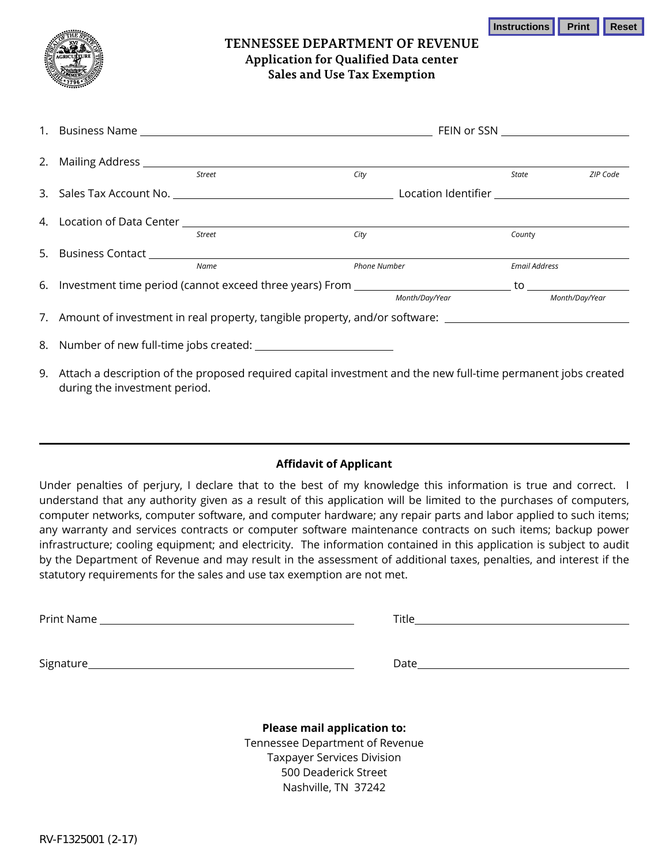**Instructions Print Reset** 



## **TENNESSEE DEPARTMENT OF REVENUE Application for Qualified Data center Sales and Use Tax Exemption**

|  | Street                                                                                                          | City |                     | State          | ZIP Code             |  |
|--|-----------------------------------------------------------------------------------------------------------------|------|---------------------|----------------|----------------------|--|
|  |                                                                                                                 |      |                     |                |                      |  |
|  |                                                                                                                 |      |                     |                |                      |  |
|  | Street                                                                                                          | City |                     | County         |                      |  |
|  |                                                                                                                 |      |                     |                |                      |  |
|  | Name                                                                                                            |      | <b>Phone Number</b> |                | <b>Email Address</b> |  |
|  |                                                                                                                 |      |                     |                |                      |  |
|  |                                                                                                                 |      | Month/Day/Year      | Month/Day/Year |                      |  |
|  | 7. Amount of investment in real property, tangible property, and/or software: ______________________            |      |                     |                |                      |  |
|  |                                                                                                                 |      |                     |                |                      |  |
|  | 9 Attach a description of the proposed required capital investment and the new full-time permanent jobs created |      |                     |                |                      |  |

9. Attach a description of the proposed required capital investment and the new full-time permanent jobs created during the investment period.

## **Affidavit of Applicant**

Under penalties of perjury, I declare that to the best of my knowledge this information is true and correct. I understand that any authority given as a result of this application will be limited to the purchases of computers, computer networks, computer software, and computer hardware; any repair parts and labor applied to such items; any warranty and services contracts or computer software maintenance contracts on such items; backup power infrastructure; cooling equipment; and electricity. The information contained in this application is subject to audit by the Department of Revenue and may result in the assessment of additional taxes, penalties, and interest if the statutory requirements for the sales and use tax exemption are not met.

Print Name Title Signature **Date Date Date Date Date Date Date Date Date Date Date Date Date Date Date Date Date Date Date Date Date Date Date Date Date Date Date Date Date Date D** 

> **Please mail application to:**  Tennessee Department of Revenue Taxpayer Services Division 500 Deaderick Street Nashville, TN 37242